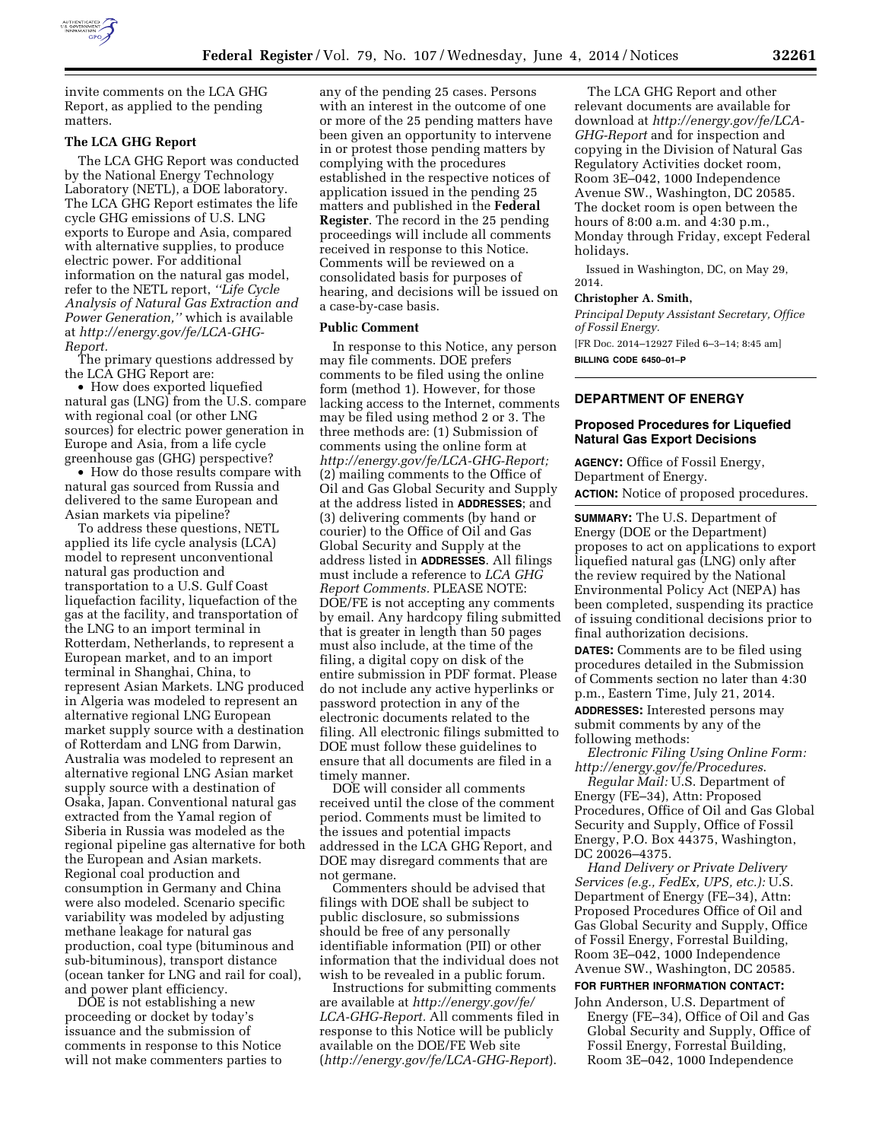

invite comments on the LCA GHG Report, as applied to the pending matters.

## **The LCA GHG Report**

The LCA GHG Report was conducted by the National Energy Technology Laboratory (NETL), a DOE laboratory. The LCA GHG Report estimates the life cycle GHG emissions of U.S. LNG exports to Europe and Asia, compared with alternative supplies, to produce electric power. For additional information on the natural gas model, refer to the NETL report, *''Life Cycle Analysis of Natural Gas Extraction and Power Generation,''* which is available at *http://energy.gov/fe/LCA-GHG-Report.* 

The primary questions addressed by the LCA GHG Report are:

• How does exported liquefied natural gas (LNG) from the U.S. compare with regional coal (or other LNG sources) for electric power generation in Europe and Asia, from a life cycle greenhouse gas (GHG) perspective?

• How do those results compare with natural gas sourced from Russia and delivered to the same European and Asian markets via pipeline?

To address these questions, NETL applied its life cycle analysis (LCA) model to represent unconventional natural gas production and transportation to a U.S. Gulf Coast liquefaction facility, liquefaction of the gas at the facility, and transportation of the LNG to an import terminal in Rotterdam, Netherlands, to represent a European market, and to an import terminal in Shanghai, China, to represent Asian Markets. LNG produced in Algeria was modeled to represent an alternative regional LNG European market supply source with a destination of Rotterdam and LNG from Darwin, Australia was modeled to represent an alternative regional LNG Asian market supply source with a destination of Osaka, Japan. Conventional natural gas extracted from the Yamal region of Siberia in Russia was modeled as the regional pipeline gas alternative for both the European and Asian markets. Regional coal production and consumption in Germany and China were also modeled. Scenario specific variability was modeled by adjusting methane leakage for natural gas production, coal type (bituminous and sub-bituminous), transport distance (ocean tanker for LNG and rail for coal), and power plant efficiency.

DOE is not establishing a new proceeding or docket by today's issuance and the submission of comments in response to this Notice will not make commenters parties to

any of the pending 25 cases. Persons with an interest in the outcome of one or more of the 25 pending matters have been given an opportunity to intervene in or protest those pending matters by complying with the procedures established in the respective notices of application issued in the pending 25 matters and published in the **Federal Register**. The record in the 25 pending proceedings will include all comments received in response to this Notice. Comments will be reviewed on a consolidated basis for purposes of hearing, and decisions will be issued on a case-by-case basis.

#### **Public Comment**

In response to this Notice, any person may file comments. DOE prefers comments to be filed using the online form (method 1). However, for those lacking access to the Internet, comments may be filed using method 2 or 3. The three methods are: (1) Submission of comments using the online form at *[http://energy.gov/fe/LCA-GHG-Report;](http://energy.gov/fe/LCA-GHG-Report)*  (2) mailing comments to the Office of Oil and Gas Global Security and Supply at the address listed in **ADDRESSES**; and (3) delivering comments (by hand or courier) to the Office of Oil and Gas Global Security and Supply at the address listed in **ADDRESSES**. All filings must include a reference to *LCA GHG Report Comments.* PLEASE NOTE: DOE/FE is not accepting any comments by email. Any hardcopy filing submitted that is greater in length than 50 pages must also include, at the time of the filing, a digital copy on disk of the entire submission in PDF format. Please do not include any active hyperlinks or password protection in any of the electronic documents related to the filing. All electronic filings submitted to DOE must follow these guidelines to ensure that all documents are filed in a timely manner.

DOE will consider all comments received until the close of the comment period. Comments must be limited to the issues and potential impacts addressed in the LCA GHG Report, and DOE may disregard comments that are not germane.

Commenters should be advised that filings with DOE shall be subject to public disclosure, so submissions should be free of any personally identifiable information (PII) or other information that the individual does not wish to be revealed in a public forum.

Instructions for submitting comments are available at *[http://energy.gov/fe/](http://energy.gov/fe/LCA-GHG-Report) [LCA-GHG-Report.](http://energy.gov/fe/LCA-GHG-Report)* All comments filed in response to this Notice will be publicly available on the DOE/FE Web site (*<http://energy.gov/fe/LCA-GHG-Report>*).

The LCA GHG Report and other relevant documents are available for download at *[http://energy.gov/fe/LCA-](http://energy.gov/fe/LCA-GHG-Report)[GHG-Report](http://energy.gov/fe/LCA-GHG-Report)* and for inspection and copying in the Division of Natural Gas Regulatory Activities docket room, Room 3E–042, 1000 Independence Avenue SW., Washington, DC 20585. The docket room is open between the hours of 8:00 a.m. and 4:30 p.m., Monday through Friday, except Federal holidays.

Issued in Washington, DC, on May 29, 2014.

### **Christopher A. Smith,**

*Principal Deputy Assistant Secretary, Office of Fossil Energy.*  [FR Doc. 2014–12927 Filed 6–3–14; 8:45 am]

**BILLING CODE 6450–01–P** 

# **DEPARTMENT OF ENERGY**

# **Proposed Procedures for Liquefied Natural Gas Export Decisions**

**AGENCY:** Office of Fossil Energy, Department of Energy. **ACTION:** Notice of proposed procedures.

**SUMMARY:** The U.S. Department of Energy (DOE or the Department) proposes to act on applications to export liquefied natural gas (LNG) only after the review required by the National Environmental Policy Act (NEPA) has been completed, suspending its practice of issuing conditional decisions prior to final authorization decisions.

**DATES:** Comments are to be filed using procedures detailed in the Submission of Comments section no later than 4:30 p.m., Eastern Time, July 21, 2014.

**ADDRESSES:** Interested persons may submit comments by any of the following methods:

*Electronic Filing Using Online Form: <http://energy.gov/fe/Procedures>*.

*Regular Mail:* U.S. Department of Energy (FE–34), Attn: Proposed Procedures, Office of Oil and Gas Global Security and Supply, Office of Fossil Energy, P.O. Box 44375, Washington, DC 20026–4375.

*Hand Delivery or Private Delivery Services (e.g., FedEx, UPS, etc.):* U.S. Department of Energy (FE–34), Attn: Proposed Procedures Office of Oil and Gas Global Security and Supply, Office of Fossil Energy, Forrestal Building, Room 3E–042, 1000 Independence Avenue SW., Washington, DC 20585.

## **FOR FURTHER INFORMATION CONTACT:**

John Anderson, U.S. Department of Energy (FE–34), Office of Oil and Gas Global Security and Supply, Office of Fossil Energy, Forrestal Building, Room 3E–042, 1000 Independence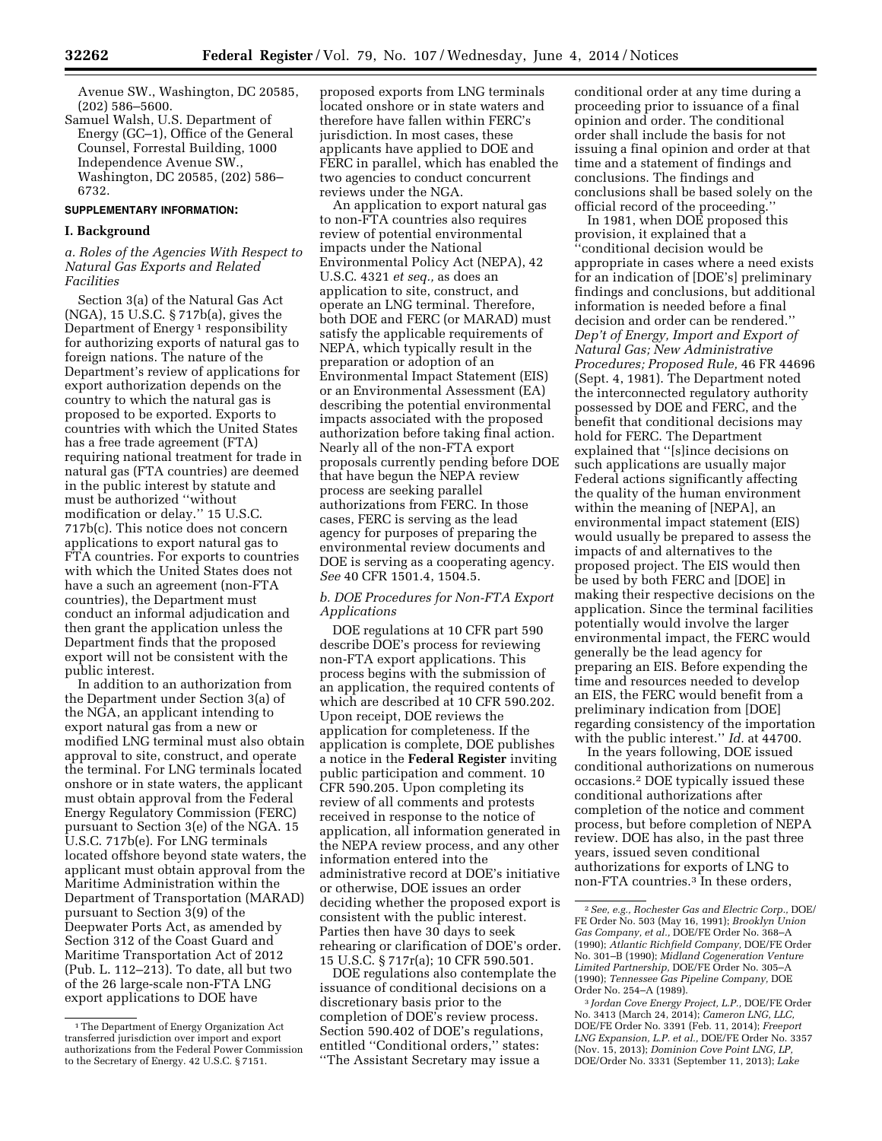Avenue SW., Washington, DC 20585, (202) 586–5600.

Samuel Walsh, U.S. Department of Energy (GC–1), Office of the General Counsel, Forrestal Building, 1000 Independence Avenue SW., Washington, DC 20585, (202) 586– 6732.

### **SUPPLEMENTARY INFORMATION:**

# **I. Background**

## *a. Roles of the Agencies With Respect to Natural Gas Exports and Related Facilities*

Section 3(a) of the Natural Gas Act (NGA), 15 U.S.C. § 717b(a), gives the Department of Energy<sup>1</sup> responsibility for authorizing exports of natural gas to foreign nations. The nature of the Department's review of applications for export authorization depends on the country to which the natural gas is proposed to be exported. Exports to countries with which the United States has a free trade agreement (FTA) requiring national treatment for trade in natural gas (FTA countries) are deemed in the public interest by statute and must be authorized ''without modification or delay.'' 15 U.S.C. 717b(c). This notice does not concern applications to export natural gas to FTA countries. For exports to countries with which the United States does not have a such an agreement (non-FTA countries), the Department must conduct an informal adjudication and then grant the application unless the Department finds that the proposed export will not be consistent with the public interest.

In addition to an authorization from the Department under Section 3(a) of the NGA, an applicant intending to export natural gas from a new or modified LNG terminal must also obtain approval to site, construct, and operate the terminal. For LNG terminals located onshore or in state waters, the applicant must obtain approval from the Federal Energy Regulatory Commission (FERC) pursuant to Section 3(e) of the NGA. 15 U.S.C. 717b(e). For LNG terminals located offshore beyond state waters, the applicant must obtain approval from the Maritime Administration within the Department of Transportation (MARAD) pursuant to Section 3(9) of the Deepwater Ports Act, as amended by Section 312 of the Coast Guard and Maritime Transportation Act of 2012 (Pub. L. 112–213). To date, all but two of the 26 large-scale non-FTA LNG export applications to DOE have

proposed exports from LNG terminals located onshore or in state waters and therefore have fallen within FERC's jurisdiction. In most cases, these applicants have applied to DOE and FERC in parallel, which has enabled the two agencies to conduct concurrent reviews under the NGA.

An application to export natural gas to non-FTA countries also requires review of potential environmental impacts under the National Environmental Policy Act (NEPA), 42 U.S.C. 4321 *et seq.,* as does an application to site, construct, and operate an LNG terminal. Therefore, both DOE and FERC (or MARAD) must satisfy the applicable requirements of NEPA, which typically result in the preparation or adoption of an Environmental Impact Statement (EIS) or an Environmental Assessment (EA) describing the potential environmental impacts associated with the proposed authorization before taking final action. Nearly all of the non-FTA export proposals currently pending before DOE that have begun the NEPA review process are seeking parallel authorizations from FERC. In those cases, FERC is serving as the lead agency for purposes of preparing the environmental review documents and DOE is serving as a cooperating agency. *See* 40 CFR 1501.4, 1504.5.

## *b. DOE Procedures for Non-FTA Export Applications*

DOE regulations at 10 CFR part 590 describe DOE's process for reviewing non-FTA export applications. This process begins with the submission of an application, the required contents of which are described at 10 CFR 590.202. Upon receipt, DOE reviews the application for completeness. If the application is complete, DOE publishes a notice in the **Federal Register** inviting public participation and comment. 10 CFR 590.205. Upon completing its review of all comments and protests received in response to the notice of application, all information generated in the NEPA review process, and any other information entered into the administrative record at DOE's initiative or otherwise, DOE issues an order deciding whether the proposed export is consistent with the public interest. Parties then have 30 days to seek rehearing or clarification of DOE's order. 15 U.S.C. § 717r(a); 10 CFR 590.501.

DOE regulations also contemplate the issuance of conditional decisions on a discretionary basis prior to the completion of DOE's review process. Section 590.402 of DOE's regulations, entitled ''Conditional orders,'' states: ''The Assistant Secretary may issue a

conditional order at any time during a proceeding prior to issuance of a final opinion and order. The conditional order shall include the basis for not issuing a final opinion and order at that time and a statement of findings and conclusions. The findings and conclusions shall be based solely on the official record of the proceeding.''

In 1981, when DOE proposed this provision, it explained that a ''conditional decision would be appropriate in cases where a need exists for an indication of [DOE's] preliminary findings and conclusions, but additional information is needed before a final decision and order can be rendered.'' *Dep't of Energy, Import and Export of Natural Gas; New Administrative Procedures; Proposed Rule,* 46 FR 44696 (Sept. 4, 1981). The Department noted the interconnected regulatory authority possessed by DOE and FERC, and the benefit that conditional decisions may hold for FERC. The Department explained that ''[s]ince decisions on such applications are usually major Federal actions significantly affecting the quality of the human environment within the meaning of [NEPA], an environmental impact statement (EIS) would usually be prepared to assess the impacts of and alternatives to the proposed project. The EIS would then be used by both FERC and [DOE] in making their respective decisions on the application. Since the terminal facilities potentially would involve the larger environmental impact, the FERC would generally be the lead agency for preparing an EIS. Before expending the time and resources needed to develop an EIS, the FERC would benefit from a preliminary indication from [DOE] regarding consistency of the importation with the public interest.'' *Id.* at 44700.

In the years following, DOE issued conditional authorizations on numerous occasions.2 DOE typically issued these conditional authorizations after completion of the notice and comment process, but before completion of NEPA review. DOE has also, in the past three years, issued seven conditional authorizations for exports of LNG to non-FTA countries.3 In these orders,

3 *Jordan Cove Energy Project, L.P.,* DOE/FE Order No. 3413 (March 24, 2014); *Cameron LNG, LLC,*  DOE/FE Order No. 3391 (Feb. 11, 2014); *Freeport LNG Expansion, L.P. et al.,* DOE/FE Order No. 3357 (Nov. 15, 2013); *Dominion Cove Point LNG, LP,*  DOE/Order No. 3331 (September 11, 2013); *Lake* 

<sup>&</sup>lt;sup>1</sup>The Department of Energy Organization Act transferred jurisdiction over import and export authorizations from the Federal Power Commission to the Secretary of Energy. 42 U.S.C. § 7151.

<sup>2</sup>*See, e.g., Rochester Gas and Electric Corp.,* DOE/ FE Order No. 503 (May 16, 1991); *Brooklyn Union Gas Company, et al.,* DOE/FE Order No. 368–A (1990); *Atlantic Richfield Company,* DOE/FE Order No. 301–B (1990); *Midland Cogeneration Venture Limited Partnership,* DOE/FE Order No. 305–A (1990); *Tennessee Gas Pipeline Company,* DOE Order No. 254–A (1989).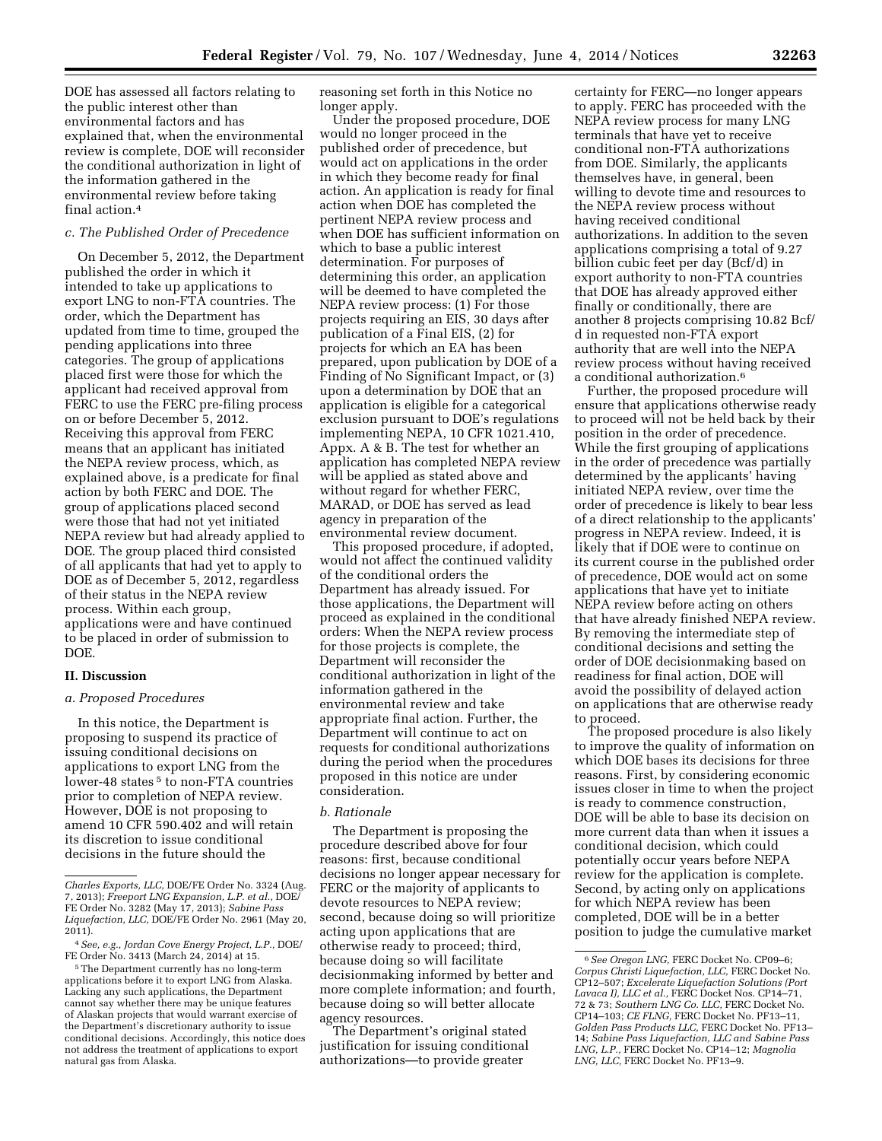DOE has assessed all factors relating to the public interest other than environmental factors and has explained that, when the environmental review is complete, DOE will reconsider the conditional authorization in light of the information gathered in the environmental review before taking final action.4

# *c. The Published Order of Precedence*

On December 5, 2012, the Department published the order in which it intended to take up applications to export LNG to non-FTA countries. The order, which the Department has updated from time to time, grouped the pending applications into three categories. The group of applications placed first were those for which the applicant had received approval from FERC to use the FERC pre-filing process on or before December 5, 2012. Receiving this approval from FERC means that an applicant has initiated the NEPA review process, which, as explained above, is a predicate for final action by both FERC and DOE. The group of applications placed second were those that had not yet initiated NEPA review but had already applied to DOE. The group placed third consisted of all applicants that had yet to apply to DOE as of December 5, 2012, regardless of their status in the NEPA review process. Within each group, applications were and have continued to be placed in order of submission to DOE.

## **II. Discussion**

### *a. Proposed Procedures*

In this notice, the Department is proposing to suspend its practice of issuing conditional decisions on applications to export LNG from the lower-48 states<sup>5</sup> to non-FTA countries prior to completion of NEPA review. However, DOE is not proposing to amend 10 CFR 590.402 and will retain its discretion to issue conditional decisions in the future should the

reasoning set forth in this Notice no longer apply.

Under the proposed procedure, DOE would no longer proceed in the published order of precedence, but would act on applications in the order in which they become ready for final action. An application is ready for final action when DOE has completed the pertinent NEPA review process and when DOE has sufficient information on which to base a public interest determination. For purposes of determining this order, an application will be deemed to have completed the NEPA review process: (1) For those projects requiring an EIS, 30 days after publication of a Final EIS, (2) for projects for which an EA has been prepared, upon publication by DOE of a Finding of No Significant Impact, or (3) upon a determination by DOE that an application is eligible for a categorical exclusion pursuant to DOE's regulations implementing NEPA, 10 CFR 1021.410, Appx. A & B. The test for whether an application has completed NEPA review will be applied as stated above and without regard for whether FERC, MARAD, or DOE has served as lead agency in preparation of the environmental review document.

This proposed procedure, if adopted, would not affect the continued validity of the conditional orders the Department has already issued. For those applications, the Department will proceed as explained in the conditional orders: When the NEPA review process for those projects is complete, the Department will reconsider the conditional authorization in light of the information gathered in the environmental review and take appropriate final action. Further, the Department will continue to act on requests for conditional authorizations during the period when the procedures proposed in this notice are under consideration.

#### *b. Rationale*

The Department is proposing the procedure described above for four reasons: first, because conditional decisions no longer appear necessary for FERC or the majority of applicants to devote resources to NEPA review; second, because doing so will prioritize acting upon applications that are otherwise ready to proceed; third, because doing so will facilitate decisionmaking informed by better and more complete information; and fourth, because doing so will better allocate agency resources.

The Department's original stated justification for issuing conditional authorizations—to provide greater

certainty for FERC—no longer appears to apply. FERC has proceeded with the NEPA review process for many LNG terminals that have yet to receive conditional non-FTA authorizations from DOE. Similarly, the applicants themselves have, in general, been willing to devote time and resources to the NEPA review process without having received conditional authorizations. In addition to the seven applications comprising a total of 9.27 billion cubic feet per day (Bcf/d) in export authority to non-FTA countries that DOE has already approved either finally or conditionally, there are another 8 projects comprising 10.82 Bcf/ d in requested non-FTA export authority that are well into the NEPA review process without having received a conditional authorization.<sup>6</sup>

Further, the proposed procedure will ensure that applications otherwise ready to proceed will not be held back by their position in the order of precedence. While the first grouping of applications in the order of precedence was partially determined by the applicants' having initiated NEPA review, over time the order of precedence is likely to bear less of a direct relationship to the applicants' progress in NEPA review. Indeed, it is likely that if DOE were to continue on its current course in the published order of precedence, DOE would act on some applications that have yet to initiate NEPA review before acting on others that have already finished NEPA review. By removing the intermediate step of conditional decisions and setting the order of DOE decisionmaking based on readiness for final action, DOE will avoid the possibility of delayed action on applications that are otherwise ready to proceed.

The proposed procedure is also likely to improve the quality of information on which DOE bases its decisions for three reasons. First, by considering economic issues closer in time to when the project is ready to commence construction, DOE will be able to base its decision on more current data than when it issues a conditional decision, which could potentially occur years before NEPA review for the application is complete. Second, by acting only on applications for which NEPA review has been completed, DOE will be in a better position to judge the cumulative market

*Charles Exports, LLC,* DOE/FE Order No. 3324 (Aug. 7, 2013); *Freeport LNG Expansion, L.P. et al.,* DOE/ FE Order No. 3282 (May 17, 2013); *Sabine Pass Liquefaction, LLC,* DOE/FE Order No. 2961 (May 20, 2011).

<sup>4</sup>*See, e.g., Jordan Cove Energy Project, L.P.,* DOE/ FE Order No. 3413 (March 24, 2014) at 15.

<sup>5</sup>The Department currently has no long-term applications before it to export LNG from Alaska. Lacking any such applications, the Department cannot say whether there may be unique features of Alaskan projects that would warrant exercise of the Department's discretionary authority to issue conditional decisions. Accordingly, this notice does not address the treatment of applications to export natural gas from Alaska.

<sup>6</sup>*See Oregon LNG,* FERC Docket No. CP09–6; *Corpus Christi Liquefaction, LLC,* FERC Docket No. CP12–507; *Excelerate Liquefaction Solutions (Port Lavaca I), LLC et al.,* FERC Docket Nos. CP14–71, 72 & 73; *Southern LNG Co. LLC,* FERC Docket No. CP14–103; *CE FLNG,* FERC Docket No. PF13–11, *Golden Pass Products LLC,* FERC Docket No. PF13– 14; *Sabine Pass Liquefaction, LLC and Sabine Pass LNG, L.P.,* FERC Docket No. CP14–12; *Magnolia LNG, LLC,* FERC Docket No. PF13–9.